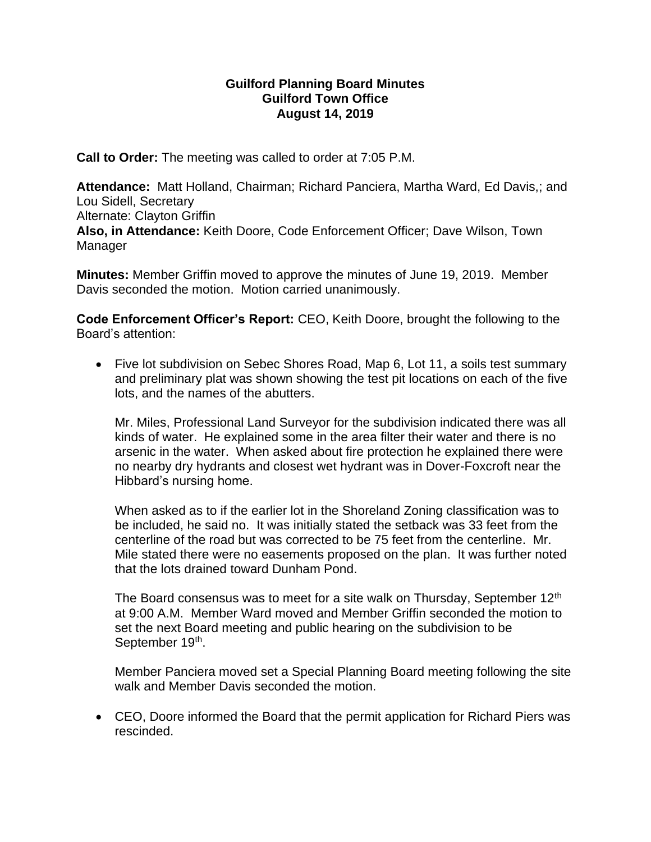## **Guilford Planning Board Minutes Guilford Town Office August 14, 2019**

**Call to Order:** The meeting was called to order at 7:05 P.M.

**Attendance:** Matt Holland, Chairman; Richard Panciera, Martha Ward, Ed Davis,; and Lou Sidell, Secretary Alternate: Clayton Griffin **Also, in Attendance:** Keith Doore, Code Enforcement Officer; Dave Wilson, Town Manager

**Minutes:** Member Griffin moved to approve the minutes of June 19, 2019. Member Davis seconded the motion. Motion carried unanimously.

**Code Enforcement Officer's Report:** CEO, Keith Doore, brought the following to the Board's attention:

• Five lot subdivision on Sebec Shores Road, Map 6, Lot 11, a soils test summary and preliminary plat was shown showing the test pit locations on each of the five lots, and the names of the abutters.

Mr. Miles, Professional Land Surveyor for the subdivision indicated there was all kinds of water. He explained some in the area filter their water and there is no arsenic in the water. When asked about fire protection he explained there were no nearby dry hydrants and closest wet hydrant was in Dover-Foxcroft near the Hibbard's nursing home.

When asked as to if the earlier lot in the Shoreland Zoning classification was to be included, he said no. It was initially stated the setback was 33 feet from the centerline of the road but was corrected to be 75 feet from the centerline. Mr. Mile stated there were no easements proposed on the plan. It was further noted that the lots drained toward Dunham Pond.

The Board consensus was to meet for a site walk on Thursday, September 12<sup>th</sup> at 9:00 A.M. Member Ward moved and Member Griffin seconded the motion to set the next Board meeting and public hearing on the subdivision to be September 19<sup>th</sup>.

Member Panciera moved set a Special Planning Board meeting following the site walk and Member Davis seconded the motion.

• CEO, Doore informed the Board that the permit application for Richard Piers was rescinded.